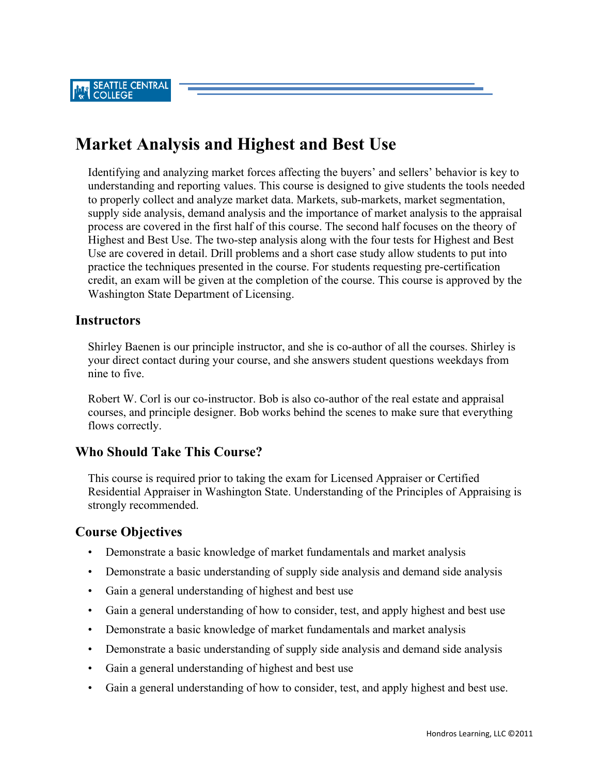SEATTLE CENTRAL<br>COLLEGE

# **Market Analysis and Highest and Best Use**

Identifying and analyzing market forces affecting the buyers' and sellers' behavior is key to understanding and reporting values. This course is designed to give students the tools needed to properly collect and analyze market data. Markets, sub-markets, market segmentation, supply side analysis, demand analysis and the importance of market analysis to the appraisal process are covered in the first half of this course. The second half focuses on the theory of Highest and Best Use. The two-step analysis along with the four tests for Highest and Best Use are covered in detail. Drill problems and a short case study allow students to put into practice the techniques presented in the course. For students requesting pre-certification credit, an exam will be given at the completion of the course. This course is approved by the Washington State Department of Licensing.

#### **Instructors**

Shirley Baenen is our principle instructor, and she is co-author of all the courses. Shirley is your direct contact during your course, and she answers student questions weekdays from nine to five.

Robert W. Corl is our co-instructor. Bob is also co-author of the real estate and appraisal courses, and principle designer. Bob works behind the scenes to make sure that everything flows correctly.

#### **Who Should Take This Course?**

This course is required prior to taking the exam for Licensed Appraiser or Certified Residential Appraiser in Washington State. Understanding of the Principles of Appraising is strongly recommended.

#### **Course Objectives**

- Demonstrate a basic knowledge of market fundamentals and market analysis
- Demonstrate a basic understanding of supply side analysis and demand side analysis
- Gain a general understanding of highest and best use
- Gain a general understanding of how to consider, test, and apply highest and best use
- Demonstrate a basic knowledge of market fundamentals and market analysis
- Demonstrate a basic understanding of supply side analysis and demand side analysis
- Gain a general understanding of highest and best use
- Gain a general understanding of how to consider, test, and apply highest and best use.